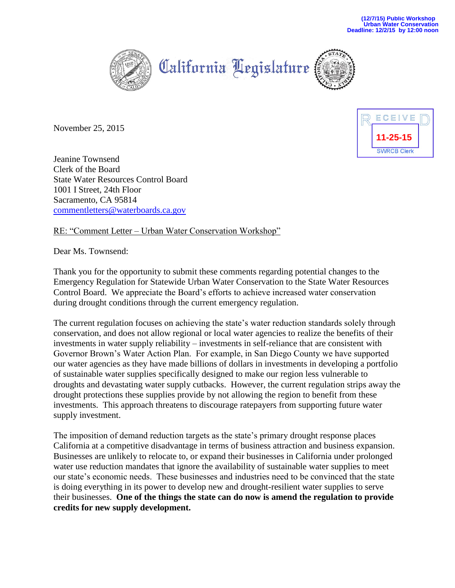

California Legislature



November 25, 2015



Jeanine Townsend Clerk of the Board State Water Resources Control Board 1001 I Street, 24th Floor Sacramento, CA 95814 [commentletters@waterboards.ca.gov](mailto:commentletters@waterboards.ca.gov)

## RE: "Comment Letter – Urban Water Conservation Workshop"

Dear Ms. Townsend:

Thank you for the opportunity to submit these comments regarding potential changes to the Emergency Regulation for Statewide Urban Water Conservation to the State Water Resources Control Board. We appreciate the Board's efforts to achieve increased water conservation during drought conditions through the current emergency regulation.

The current regulation focuses on achieving the state's water reduction standards solely through conservation, and does not allow regional or local water agencies to realize the benefits of their investments in water supply reliability – investments in self-reliance that are consistent with Governor Brown's Water Action Plan. For example, in San Diego County we have supported our water agencies as they have made billions of dollars in investments in developing a portfolio of sustainable water supplies specifically designed to make our region less vulnerable to droughts and devastating water supply cutbacks. However, the current regulation strips away the drought protections these supplies provide by not allowing the region to benefit from these investments. This approach threatens to discourage ratepayers from supporting future water supply investment.

The imposition of demand reduction targets as the state's primary drought response places California at a competitive disadvantage in terms of business attraction and business expansion. Businesses are unlikely to relocate to, or expand their businesses in California under prolonged water use reduction mandates that ignore the availability of sustainable water supplies to meet our state's economic needs. These businesses and industries need to be convinced that the state is doing everything in its power to develop new and drought-resilient water supplies to serve their businesses. **One of the things the state can do now is amend the regulation to provide credits for new supply development.**